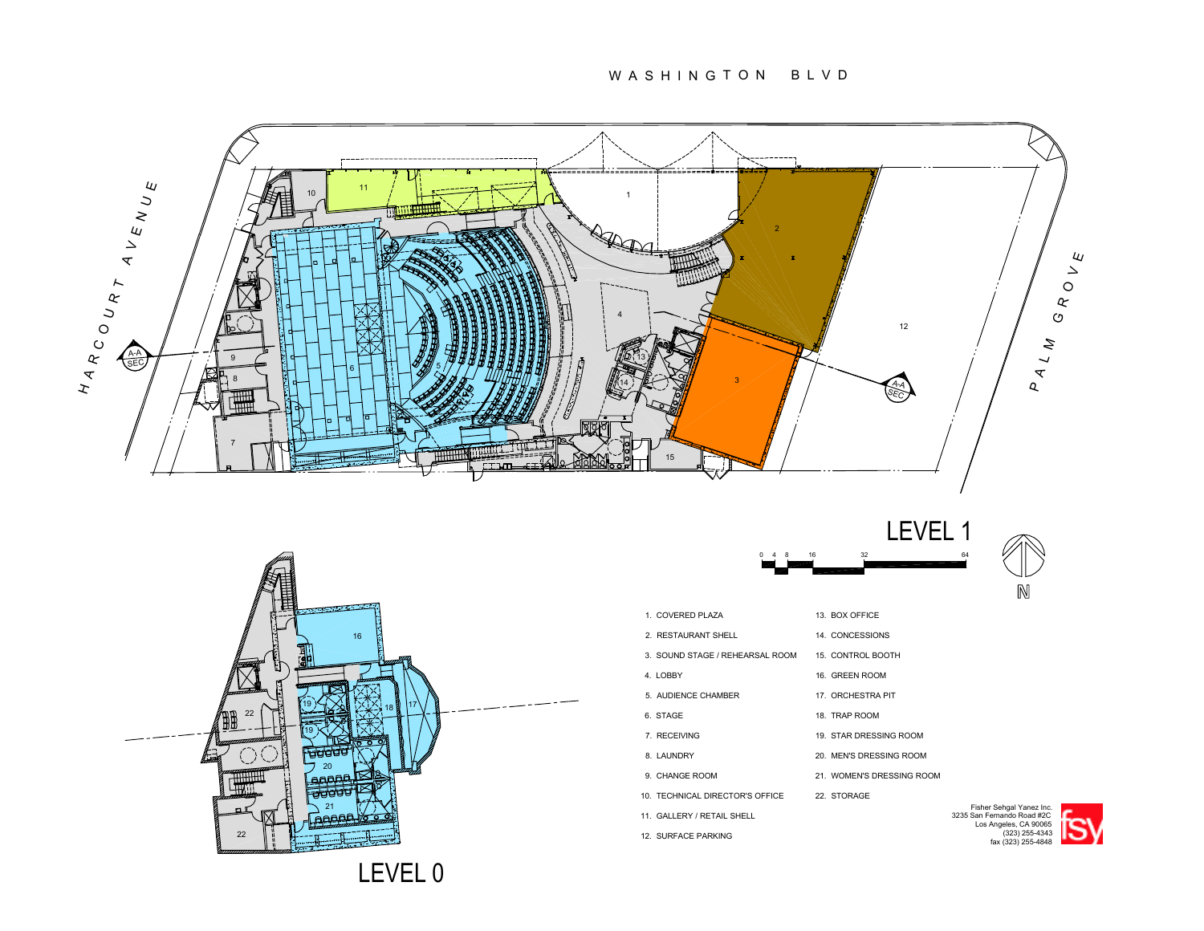W A S H I N G T O N B L V D







| 1. COVERED PLAZA                | 13. BOX OFFICE            |                                                                                 |
|---------------------------------|---------------------------|---------------------------------------------------------------------------------|
| 2. RESTAURANT SHELL             | 14. CONCESSIONS           |                                                                                 |
| 3. SOUND STAGE / REHEARSAL ROOM | 15. CONTROL BOOTH         |                                                                                 |
| 4. LOBBY                        | 16. GREEN ROOM            |                                                                                 |
| 5. AUDIENCE CHAMBER             | 17. ORCHESTRA PIT         |                                                                                 |
| 6. STAGE                        | 18. TRAP ROOM             |                                                                                 |
| 7. RECEIVING                    | 19. STAR DRESSING ROOM    |                                                                                 |
| 8. LAUNDRY                      | 20. MEN'S DRESSING ROOM   |                                                                                 |
| 9. CHANGE ROOM                  | 21. WOMEN'S DRESSING ROOM |                                                                                 |
| 10. TECHNICAL DIRECTOR'S OFFICE | 22. STORAGE               |                                                                                 |
| 11. GALLERY / RETAIL SHELL      |                           | Fisher Sehgal Yanez Inc.<br>3235 San Fernando Road #2C<br>Los Angeles, CA 90065 |
| 12. SURFACE PARKING             |                           | (323) 255-4343<br>fax (323) 255-4848                                            |
|                                 |                           |                                                                                 |

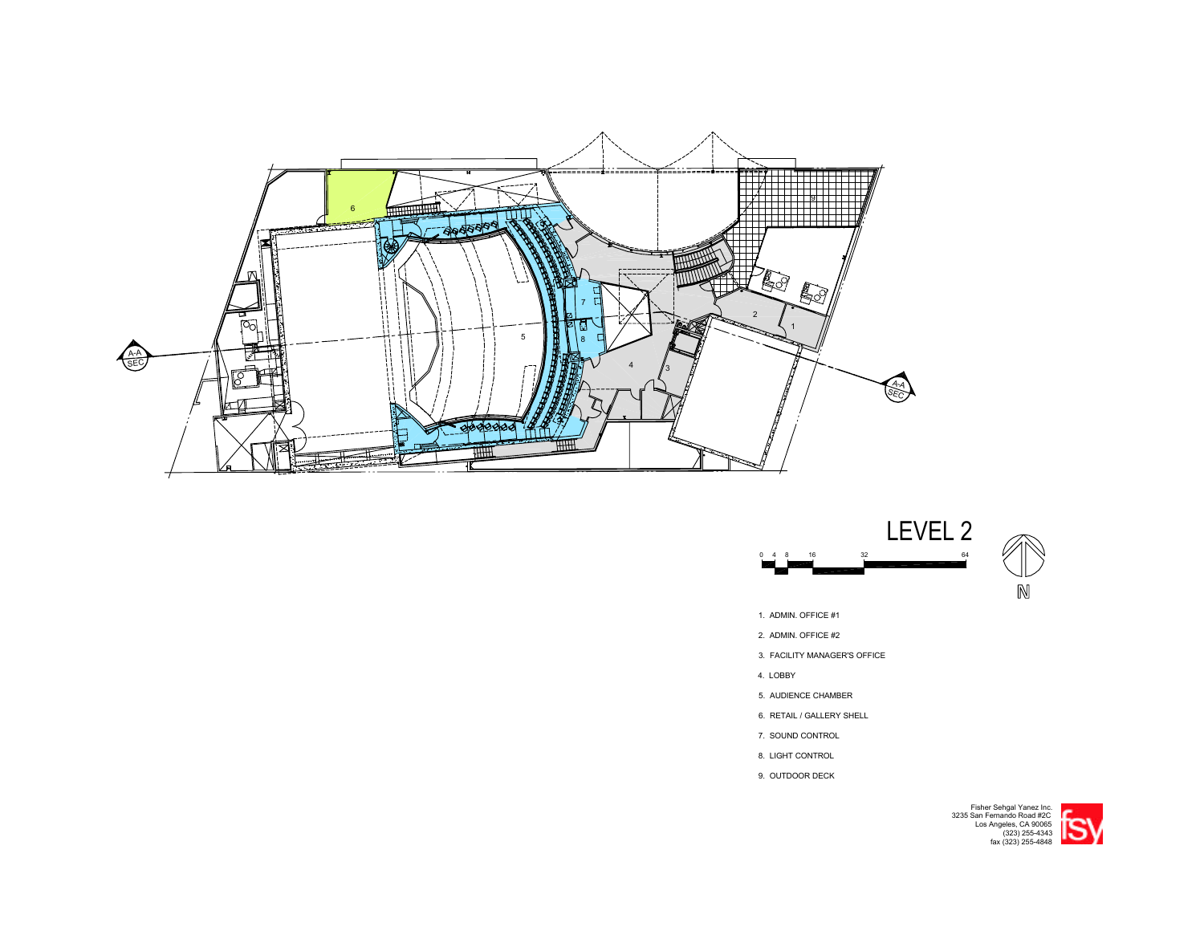



- 1. ADMIN. OFFICE #1
- 2. ADMIN. OFFICE #2
- 3. FACILITY MANAGER'S OFFICE
- 4. LOBBY
- 5. AUDIENCE CHAMBER
- 6. RETAIL / GALLERY SHELL
- 7. SOUND CONTROL
- 8. LIGHT CONTROL
- 9. OUTDOOR DECK



Los Angeles, CA 90065 3235 San Fernando Road #2C fax (323) 255-4848 (323) 255-4343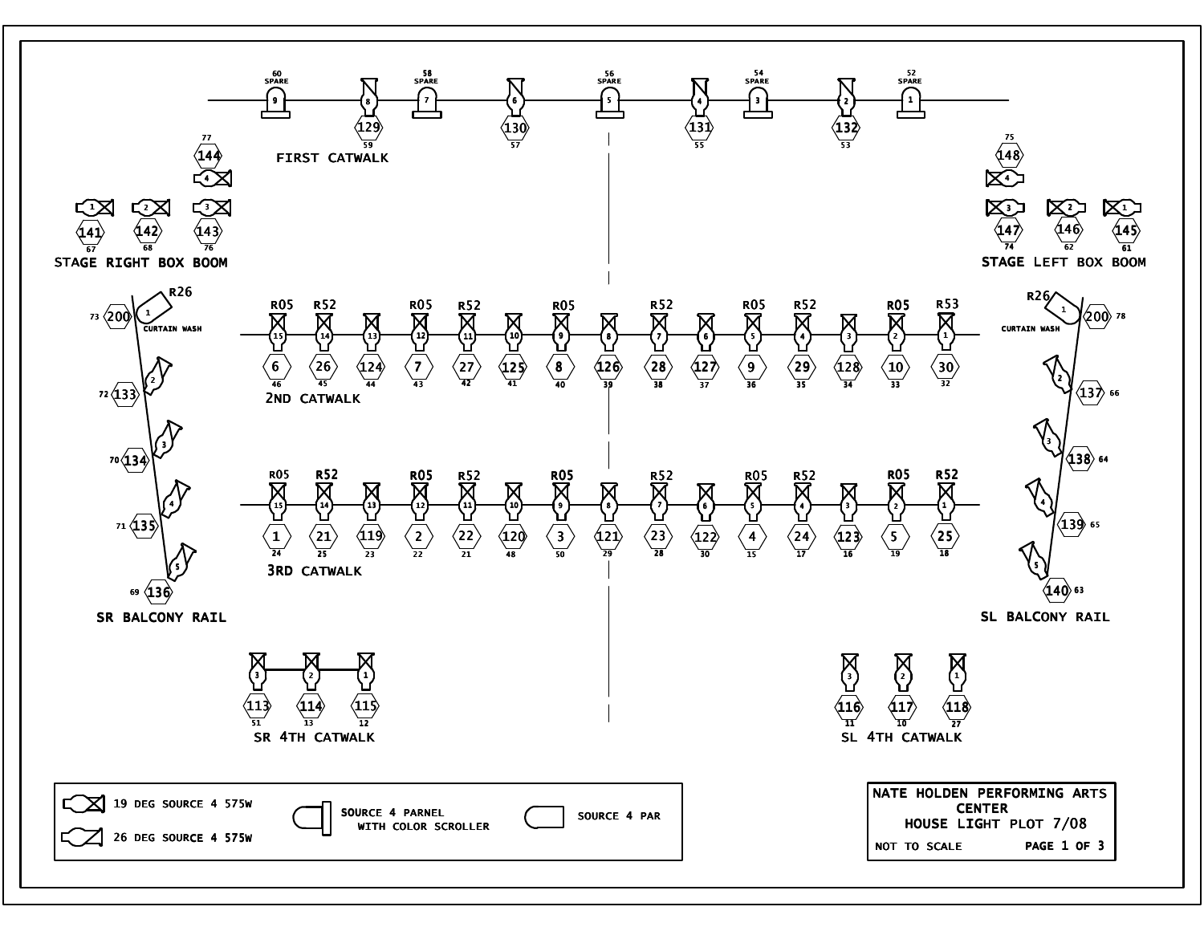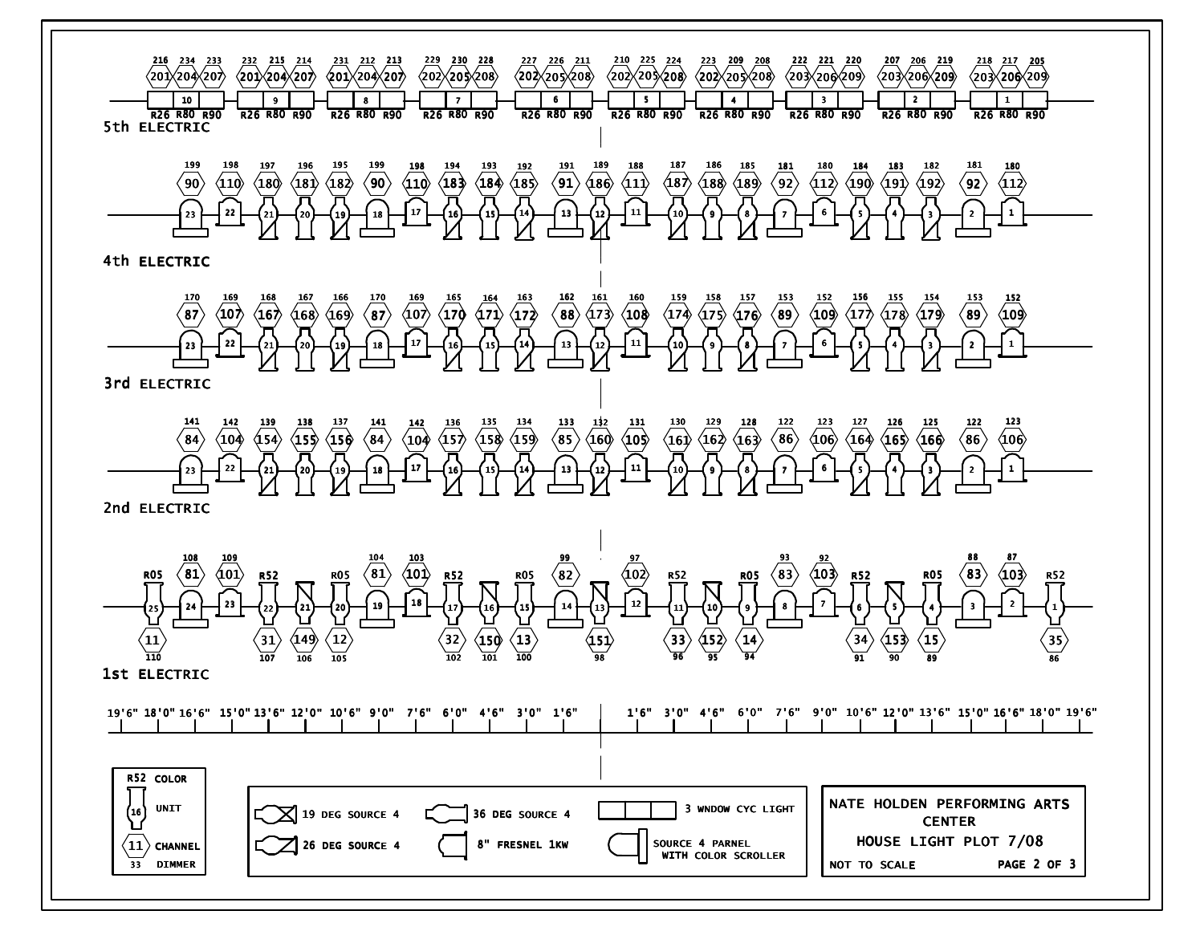